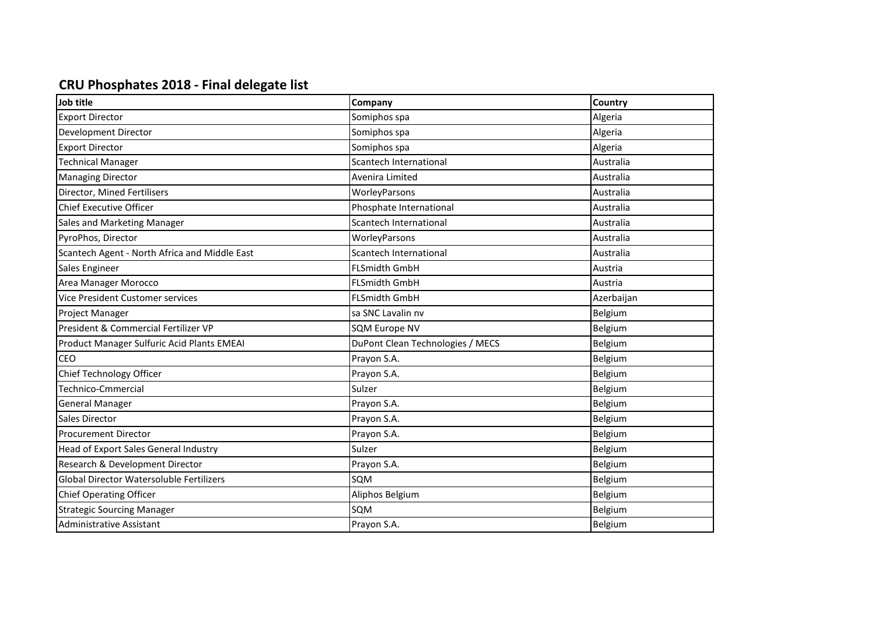## **CRU Phosphates 2018 - Final delegate list**

| Job title                                     | Company                          | <b>Country</b> |
|-----------------------------------------------|----------------------------------|----------------|
| <b>Export Director</b>                        | Somiphos spa                     | Algeria        |
| Development Director                          | Somiphos spa                     | Algeria        |
| <b>Export Director</b>                        | Somiphos spa                     | Algeria        |
| <b>Technical Manager</b>                      | <b>Scantech International</b>    | Australia      |
| <b>Managing Director</b>                      | Avenira Limited                  | Australia      |
| Director, Mined Fertilisers                   | WorleyParsons                    | Australia      |
| <b>Chief Executive Officer</b>                | Phosphate International          | Australia      |
| Sales and Marketing Manager                   | Scantech International           | Australia      |
| PyroPhos, Director                            | WorleyParsons                    | Australia      |
| Scantech Agent - North Africa and Middle East | Scantech International           | Australia      |
| Sales Engineer                                | <b>FLSmidth GmbH</b>             | Austria        |
| Area Manager Morocco                          | <b>FLSmidth GmbH</b>             | Austria        |
| Vice President Customer services              | <b>FLSmidth GmbH</b>             | Azerbaijan     |
| Project Manager                               | sa SNC Lavalin nv                | Belgium        |
| President & Commercial Fertilizer VP          | <b>SQM Europe NV</b>             | Belgium        |
| Product Manager Sulfuric Acid Plants EMEAI    | DuPont Clean Technologies / MECS | Belgium        |
| CEO                                           | Prayon S.A.                      | Belgium        |
| Chief Technology Officer                      | Prayon S.A.                      | Belgium        |
| Technico-Cmmercial                            | Sulzer                           | Belgium        |
| <b>General Manager</b>                        | Prayon S.A.                      | Belgium        |
| Sales Director                                | Prayon S.A.                      | Belgium        |
| <b>Procurement Director</b>                   | Prayon S.A.                      | Belgium        |
| Head of Export Sales General Industry         | Sulzer                           | Belgium        |
| Research & Development Director               | Prayon S.A.                      | Belgium        |
| Global Director Watersoluble Fertilizers      | SQM                              | Belgium        |
| <b>Chief Operating Officer</b>                | Aliphos Belgium                  | Belgium        |
| <b>Strategic Sourcing Manager</b>             | SQM                              | Belgium        |
| <b>Administrative Assistant</b>               | Prayon S.A.                      | Belgium        |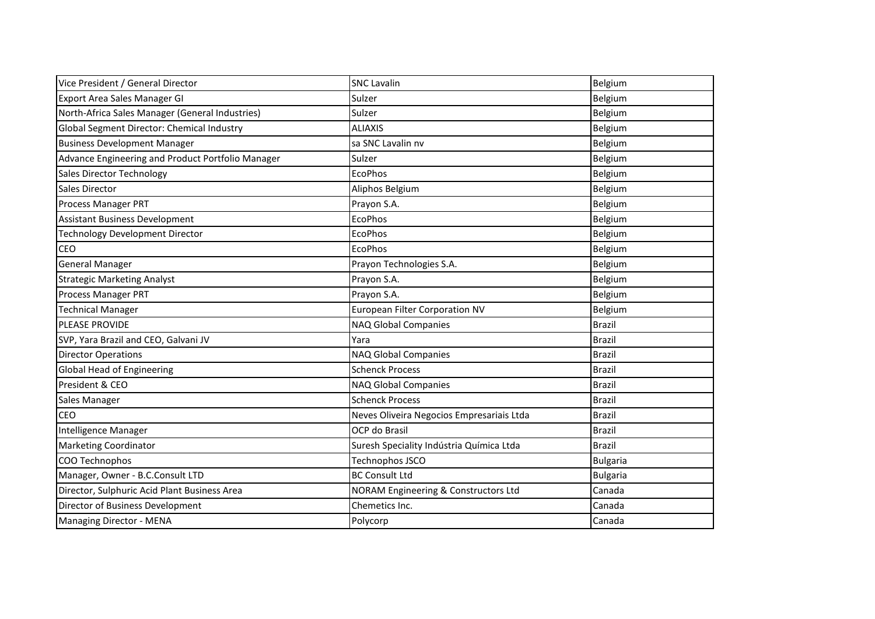| Vice President / General Director                 | <b>SNC Lavalin</b>                        | Belgium         |
|---------------------------------------------------|-------------------------------------------|-----------------|
| Export Area Sales Manager GI                      | Sulzer                                    | Belgium         |
| North-Africa Sales Manager (General Industries)   | Sulzer                                    | Belgium         |
| Global Segment Director: Chemical Industry        | <b>ALIAXIS</b>                            | Belgium         |
| <b>Business Development Manager</b>               | sa SNC Lavalin nv                         | Belgium         |
| Advance Engineering and Product Portfolio Manager | Sulzer                                    | Belgium         |
| <b>Sales Director Technology</b>                  | EcoPhos                                   | Belgium         |
| Sales Director                                    | Aliphos Belgium                           | Belgium         |
| Process Manager PRT                               | Prayon S.A.                               | Belgium         |
| <b>Assistant Business Development</b>             | <b>EcoPhos</b>                            | Belgium         |
| <b>Technology Development Director</b>            | <b>EcoPhos</b>                            | Belgium         |
| <b>CEO</b>                                        | <b>EcoPhos</b>                            | Belgium         |
| <b>General Manager</b>                            | Prayon Technologies S.A.                  | Belgium         |
| <b>Strategic Marketing Analyst</b>                | Prayon S.A.                               | Belgium         |
| <b>Process Manager PRT</b>                        | Prayon S.A.                               | Belgium         |
| <b>Technical Manager</b>                          | European Filter Corporation NV            | Belgium         |
| PLEASE PROVIDE                                    | NAQ Global Companies                      | <b>Brazil</b>   |
| SVP, Yara Brazil and CEO, Galvani JV              | Yara                                      | Brazil          |
| <b>Director Operations</b>                        | NAQ Global Companies                      | <b>Brazil</b>   |
| Global Head of Engineering                        | <b>Schenck Process</b>                    | <b>Brazil</b>   |
| President & CEO                                   | NAQ Global Companies                      | <b>Brazil</b>   |
| Sales Manager                                     | <b>Schenck Process</b>                    | Brazil          |
| <b>CEO</b>                                        | Neves Oliveira Negocios Empresariais Ltda | <b>Brazil</b>   |
| Intelligence Manager                              | OCP do Brasil                             | <b>Brazil</b>   |
| <b>Marketing Coordinator</b>                      | Suresh Speciality Indústria Química Ltda  | <b>Brazil</b>   |
| COO Technophos                                    | Technophos JSCO                           | <b>Bulgaria</b> |
| Manager, Owner - B.C.Consult LTD                  | <b>BC Consult Ltd</b>                     | <b>Bulgaria</b> |
| Director, Sulphuric Acid Plant Business Area      | NORAM Engineering & Constructors Ltd      | Canada          |
| Director of Business Development                  | Chemetics Inc.                            | Canada          |
| Managing Director - MENA                          | Polycorp                                  | Canada          |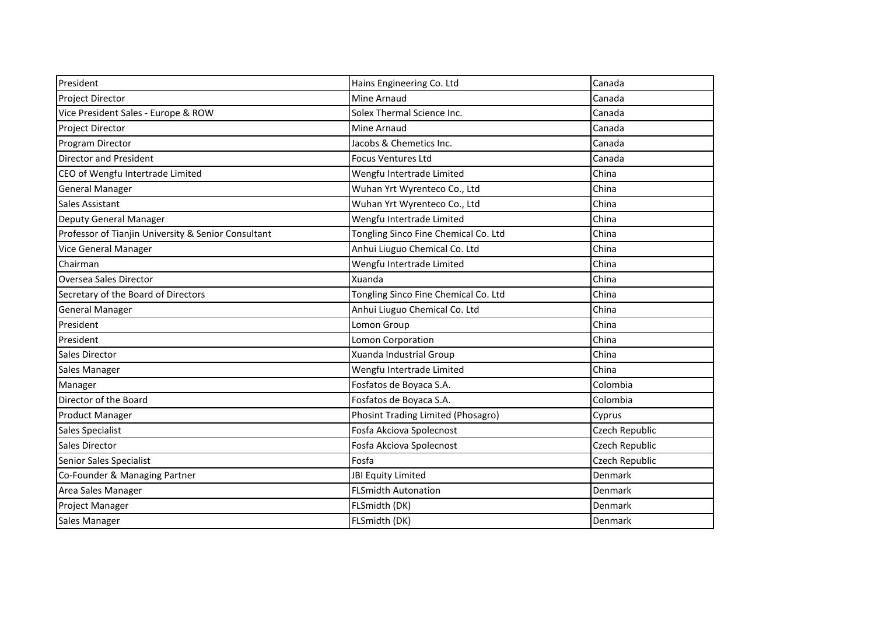| President                                           | Hains Engineering Co. Ltd            | Canada         |
|-----------------------------------------------------|--------------------------------------|----------------|
| Project Director                                    | Mine Arnaud                          | Canada         |
| Vice President Sales - Europe & ROW                 | Solex Thermal Science Inc.           | Canada         |
| Project Director                                    | Mine Arnaud                          | Canada         |
| Program Director                                    | Jacobs & Chemetics Inc.              | Canada         |
| <b>Director and President</b>                       | <b>Focus Ventures Ltd</b>            | Canada         |
| CEO of Wengfu Intertrade Limited                    | Wengfu Intertrade Limited            | China          |
| <b>General Manager</b>                              | Wuhan Yrt Wyrenteco Co., Ltd         | China          |
| <b>Sales Assistant</b>                              | Wuhan Yrt Wyrenteco Co., Ltd         | China          |
| Deputy General Manager                              | Wengfu Intertrade Limited            | China          |
| Professor of Tianjin University & Senior Consultant | Tongling Sinco Fine Chemical Co. Ltd | China          |
| <b>Vice General Manager</b>                         | Anhui Liuguo Chemical Co. Ltd        | China          |
| Chairman                                            | Wengfu Intertrade Limited            | China          |
| Oversea Sales Director                              | Xuanda                               | China          |
| Secretary of the Board of Directors                 | Tongling Sinco Fine Chemical Co. Ltd | China          |
| <b>General Manager</b>                              | Anhui Liuguo Chemical Co. Ltd        | China          |
| President                                           | Lomon Group                          | China          |
| President                                           | Lomon Corporation                    | China          |
| <b>Sales Director</b>                               | Xuanda Industrial Group              | China          |
| Sales Manager                                       | Wengfu Intertrade Limited            | China          |
| Manager                                             | Fosfatos de Boyaca S.A.              | Colombia       |
| Director of the Board                               | Fosfatos de Boyaca S.A.              | Colombia       |
| <b>Product Manager</b>                              | Phosint Trading Limited (Phosagro)   | Cyprus         |
| Sales Specialist                                    | Fosfa Akciova Spolecnost             | Czech Republic |
| <b>Sales Director</b>                               | Fosfa Akciova Spolecnost             | Czech Republic |
| Senior Sales Specialist                             | Fosfa                                | Czech Republic |
| Co-Founder & Managing Partner                       | JBI Equity Limited                   | Denmark        |
| Area Sales Manager                                  | <b>FLSmidth Autonation</b>           | Denmark        |
| Project Manager                                     | FLSmidth (DK)                        | Denmark        |
| Sales Manager                                       | FLSmidth (DK)                        | Denmark        |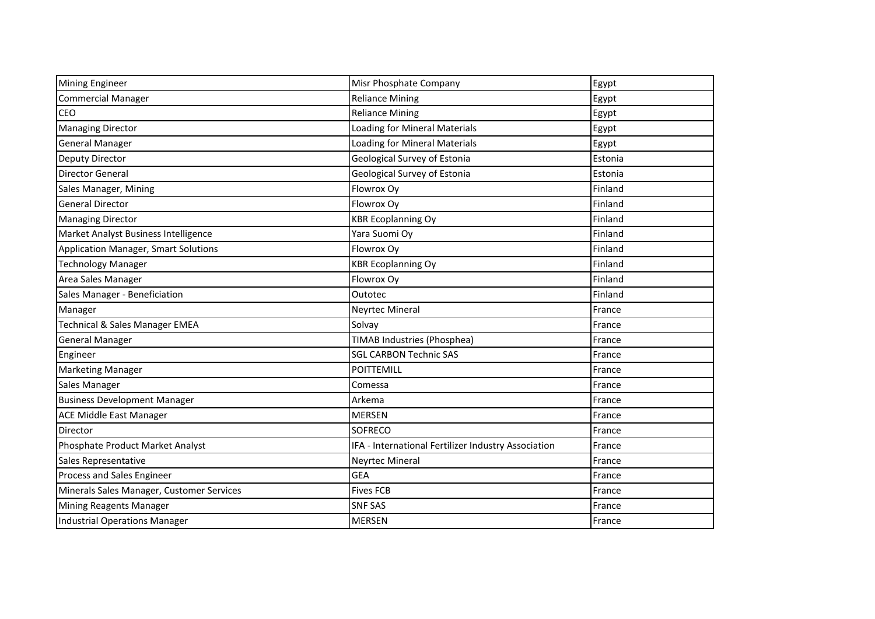| <b>Mining Engineer</b>                    | Misr Phosphate Company                              | Egypt   |
|-------------------------------------------|-----------------------------------------------------|---------|
| <b>Commercial Manager</b>                 | <b>Reliance Mining</b>                              | Egypt   |
| <b>CEO</b>                                | <b>Reliance Mining</b>                              | Egypt   |
| <b>Managing Director</b>                  | Loading for Mineral Materials                       | Egypt   |
| <b>General Manager</b>                    | Loading for Mineral Materials                       | Egypt   |
| Deputy Director                           | Geological Survey of Estonia                        | Estonia |
| <b>Director General</b>                   | Geological Survey of Estonia                        | Estonia |
| Sales Manager, Mining                     | Flowrox Oy                                          | Finland |
| <b>General Director</b>                   | Flowrox Oy                                          | Finland |
| <b>Managing Director</b>                  | <b>KBR Ecoplanning Oy</b>                           | Finland |
| Market Analyst Business Intelligence      | Yara Suomi Oy                                       | Finland |
| Application Manager, Smart Solutions      | Flowrox Oy                                          | Finland |
| Technology Manager                        | <b>KBR Ecoplanning Oy</b>                           | Finland |
| Area Sales Manager                        | Flowrox Oy                                          | Finland |
| Sales Manager - Beneficiation             | Outotec                                             | Finland |
| Manager                                   | <b>Neyrtec Mineral</b>                              | France  |
| Technical & Sales Manager EMEA            | Solvay                                              | France  |
| <b>General Manager</b>                    | TIMAB Industries (Phosphea)                         | France  |
| Engineer                                  | <b>SGL CARBON Technic SAS</b>                       | France  |
| <b>Marketing Manager</b>                  | <b>POITTEMILL</b>                                   | France  |
| Sales Manager                             | Comessa                                             | France  |
| <b>Business Development Manager</b>       | Arkema                                              | France  |
| ACE Middle East Manager                   | <b>MERSEN</b>                                       | France  |
| Director                                  | SOFRECO                                             | France  |
| Phosphate Product Market Analyst          | IFA - International Fertilizer Industry Association | France  |
| Sales Representative                      | <b>Neyrtec Mineral</b>                              | France  |
| Process and Sales Engineer                | <b>GEA</b>                                          | France  |
| Minerals Sales Manager, Customer Services | <b>Fives FCB</b>                                    | France  |
| Mining Reagents Manager                   | <b>SNF SAS</b>                                      | France  |
| Industrial Operations Manager             | <b>MERSEN</b>                                       | France  |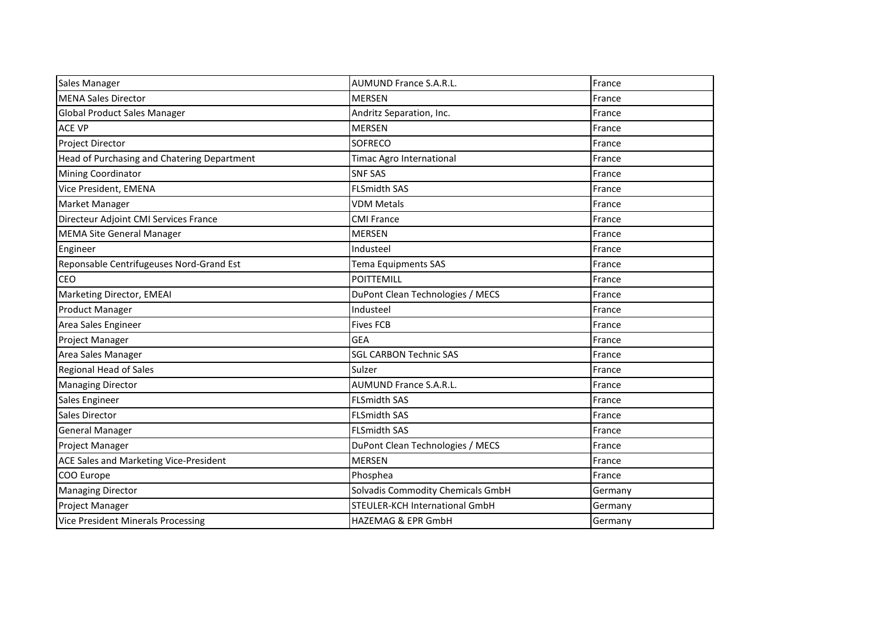| Sales Manager                               | <b>AUMUND France S.A.R.L.</b>     | France  |
|---------------------------------------------|-----------------------------------|---------|
| <b>MENA Sales Director</b>                  | <b>MERSEN</b>                     | France  |
| Global Product Sales Manager                | Andritz Separation, Inc.          | France  |
| <b>ACE VP</b>                               | <b>MERSEN</b>                     | France  |
| <b>Project Director</b>                     | <b>SOFRECO</b>                    | France  |
| Head of Purchasing and Chatering Department | <b>Timac Agro International</b>   | France  |
| Mining Coordinator                          | <b>SNF SAS</b>                    | France  |
| Vice President, EMENA                       | <b>FLSmidth SAS</b>               | France  |
| Market Manager                              | <b>VDM Metals</b>                 | France  |
| Directeur Adjoint CMI Services France       | <b>CMI France</b>                 | France  |
| <b>MEMA Site General Manager</b>            | <b>MERSEN</b>                     | France  |
| Engineer                                    | Industeel                         | France  |
| Reponsable Centrifugeuses Nord-Grand Est    | Tema Equipments SAS               | France  |
| <b>CEO</b>                                  | <b>POITTEMILL</b>                 | France  |
| Marketing Director, EMEAI                   | DuPont Clean Technologies / MECS  | France  |
| <b>Product Manager</b>                      | Industeel                         | France  |
| Area Sales Engineer                         | <b>Fives FCB</b>                  | France  |
| <b>Project Manager</b>                      | <b>GEA</b>                        | France  |
| Area Sales Manager                          | <b>SGL CARBON Technic SAS</b>     | France  |
| <b>Regional Head of Sales</b>               | Sulzer                            | France  |
| <b>Managing Director</b>                    | <b>AUMUND France S.A.R.L.</b>     | France  |
| Sales Engineer                              | <b>FLSmidth SAS</b>               | France  |
| Sales Director                              | <b>FLSmidth SAS</b>               | France  |
| <b>General Manager</b>                      | <b>FLSmidth SAS</b>               | France  |
| Project Manager                             | DuPont Clean Technologies / MECS  | France  |
| ACE Sales and Marketing Vice-President      | <b>MERSEN</b>                     | France  |
| COO Europe                                  | Phosphea                          | France  |
| <b>Managing Director</b>                    | Solvadis Commodity Chemicals GmbH | Germany |
| Project Manager                             | STEULER-KCH International GmbH    | Germany |
| <b>Vice President Minerals Processing</b>   | HAZEMAG & EPR GmbH                | Germany |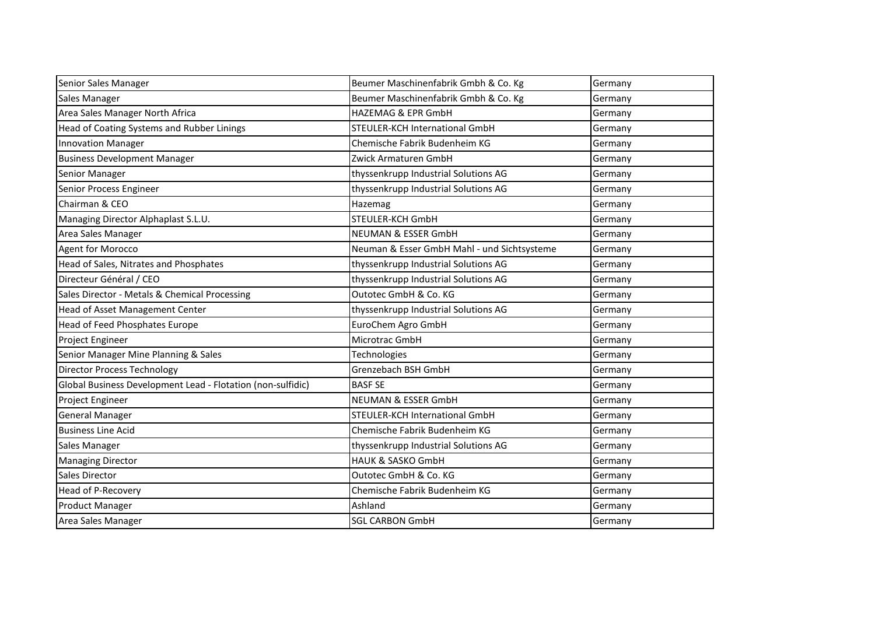| Senior Sales Manager                                        | Beumer Maschinenfabrik Gmbh & Co. Kg        | Germany |
|-------------------------------------------------------------|---------------------------------------------|---------|
| Sales Manager                                               | Beumer Maschinenfabrik Gmbh & Co. Kg        | Germany |
| Area Sales Manager North Africa                             | HAZEMAG & EPR GmbH                          | Germany |
| Head of Coating Systems and Rubber Linings                  | STEULER-KCH International GmbH              | Germany |
| <b>Innovation Manager</b>                                   | Chemische Fabrik Budenheim KG               | Germany |
| <b>Business Development Manager</b>                         | Zwick Armaturen GmbH                        | Germany |
| Senior Manager                                              | thyssenkrupp Industrial Solutions AG        | Germany |
| Senior Process Engineer                                     | thyssenkrupp Industrial Solutions AG        | Germany |
| Chairman & CEO                                              | Hazemag                                     | Germany |
| Managing Director Alphaplast S.L.U.                         | STEULER-KCH GmbH                            | Germany |
| Area Sales Manager                                          | <b>NEUMAN &amp; ESSER GmbH</b>              | Germany |
| Agent for Morocco                                           | Neuman & Esser GmbH Mahl - und Sichtsysteme | Germany |
| Head of Sales, Nitrates and Phosphates                      | thyssenkrupp Industrial Solutions AG        | Germany |
| Directeur Général / CEO                                     | thyssenkrupp Industrial Solutions AG        | Germany |
| Sales Director - Metals & Chemical Processing               | Outotec GmbH & Co. KG                       | Germany |
| Head of Asset Management Center                             | thyssenkrupp Industrial Solutions AG        | Germany |
| Head of Feed Phosphates Europe                              | EuroChem Agro GmbH                          | Germany |
| Project Engineer                                            | Microtrac GmbH                              | Germany |
| Senior Manager Mine Planning & Sales                        | Technologies                                | Germany |
| <b>Director Process Technology</b>                          | Grenzebach BSH GmbH                         | Germany |
| Global Business Development Lead - Flotation (non-sulfidic) | <b>BASF SE</b>                              | Germany |
| Project Engineer                                            | <b>NEUMAN &amp; ESSER GmbH</b>              | Germany |
| <b>General Manager</b>                                      | STEULER-KCH International GmbH              | Germany |
| <b>Business Line Acid</b>                                   | Chemische Fabrik Budenheim KG               | Germany |
| Sales Manager                                               | thyssenkrupp Industrial Solutions AG        | Germany |
| <b>Managing Director</b>                                    | <b>HAUK &amp; SASKO GmbH</b>                | Germany |
| Sales Director                                              | Outotec GmbH & Co. KG                       | Germany |
| Head of P-Recovery                                          | Chemische Fabrik Budenheim KG               | Germany |
| Product Manager                                             | Ashland                                     | Germany |
| Area Sales Manager                                          | <b>SGL CARBON GmbH</b>                      | Germany |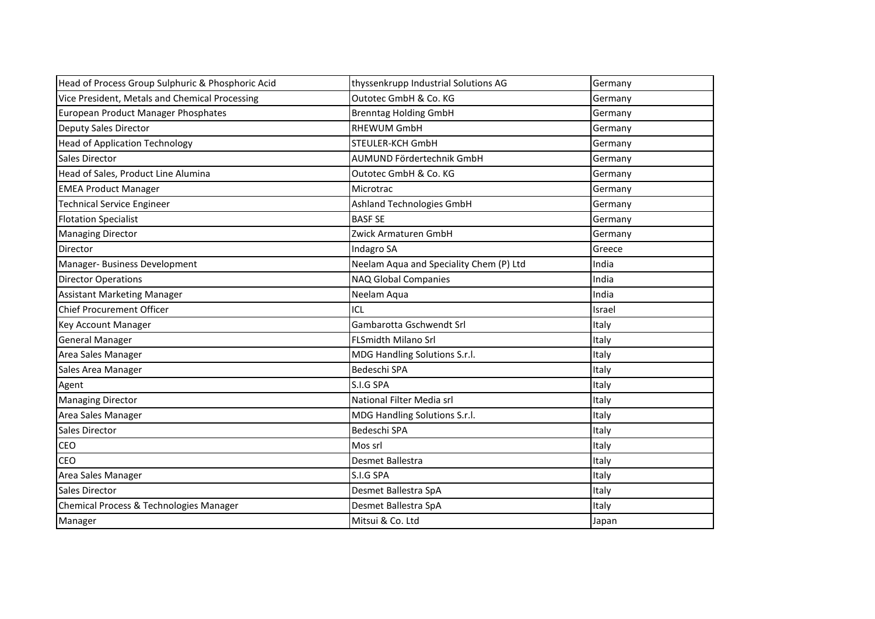| Head of Process Group Sulphuric & Phosphoric Acid | thyssenkrupp Industrial Solutions AG    | Germany |
|---------------------------------------------------|-----------------------------------------|---------|
| Vice President, Metals and Chemical Processing    | Outotec GmbH & Co. KG                   | Germany |
| European Product Manager Phosphates               | <b>Brenntag Holding GmbH</b>            | Germany |
| <b>Deputy Sales Director</b>                      | <b>RHEWUM GmbH</b>                      | Germany |
| <b>Head of Application Technology</b>             | STEULER-KCH GmbH                        | Germany |
| Sales Director                                    | AUMUND Fördertechnik GmbH               | Germany |
| Head of Sales, Product Line Alumina               | Outotec GmbH & Co. KG                   | Germany |
| <b>EMEA Product Manager</b>                       | Microtrac                               | Germany |
| <b>Technical Service Engineer</b>                 | Ashland Technologies GmbH               | Germany |
| <b>Flotation Specialist</b>                       | <b>BASF SE</b>                          | Germany |
| <b>Managing Director</b>                          | Zwick Armaturen GmbH                    | Germany |
| Director                                          | Indagro SA                              | Greece  |
| Manager- Business Development                     | Neelam Aqua and Speciality Chem (P) Ltd | India   |
| <b>Director Operations</b>                        | NAQ Global Companies                    | India   |
| <b>Assistant Marketing Manager</b>                | Neelam Aqua                             | India   |
| <b>Chief Procurement Officer</b>                  | ICL                                     | Israel  |
| Key Account Manager                               | Gambarotta Gschwendt Srl                | Italy   |
| <b>General Manager</b>                            | <b>FLSmidth Milano Srl</b>              | Italy   |
| Area Sales Manager                                | MDG Handling Solutions S.r.l.           | Italy   |
| Sales Area Manager                                | Bedeschi SPA                            | Italy   |
| Agent                                             | S.I.G SPA                               | Italy   |
| <b>Managing Director</b>                          | National Filter Media srl               | Italy   |
| Area Sales Manager                                | MDG Handling Solutions S.r.l.           | Italy   |
| Sales Director                                    | Bedeschi SPA                            | Italy   |
| CEO                                               | Mos srl                                 | Italy   |
| CEO                                               | Desmet Ballestra                        | Italy   |
| Area Sales Manager                                | S.I.G SPA                               | Italy   |
| Sales Director                                    | Desmet Ballestra SpA                    | Italy   |
| Chemical Process & Technologies Manager           | Desmet Ballestra SpA                    | Italy   |
| Manager                                           | Mitsui & Co. Ltd                        | Japan   |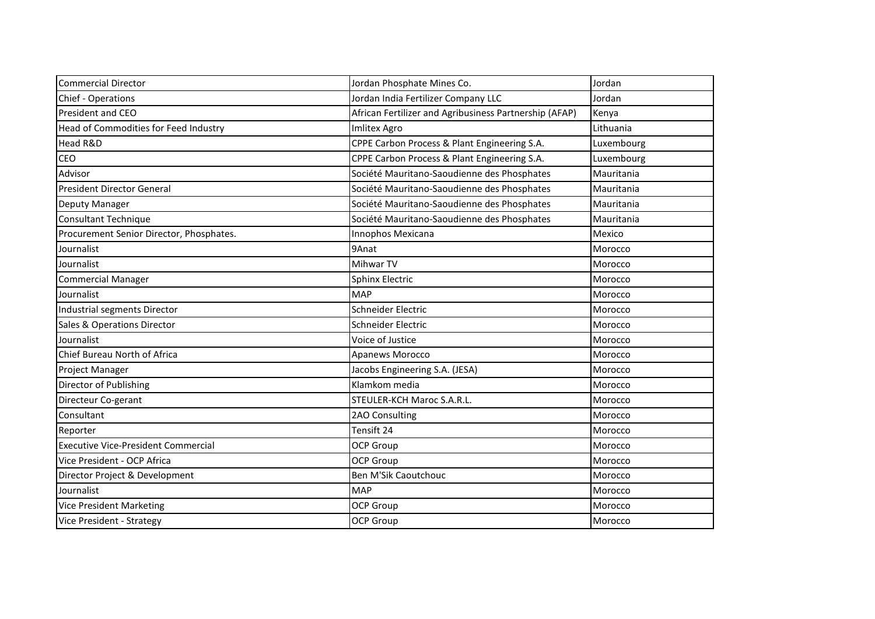| <b>Commercial Director</b>                 | Jordan Phosphate Mines Co.                             | Jordan     |
|--------------------------------------------|--------------------------------------------------------|------------|
| Chief - Operations                         | Jordan India Fertilizer Company LLC                    | Jordan     |
| President and CEO                          | African Fertilizer and Agribusiness Partnership (AFAP) | Kenya      |
| Head of Commodities for Feed Industry      | <b>Imlitex Agro</b>                                    | Lithuania  |
| Head R&D                                   | CPPE Carbon Process & Plant Engineering S.A.           | Luxembourg |
| CEO                                        | CPPE Carbon Process & Plant Engineering S.A.           | Luxembourg |
| Advisor                                    | Société Mauritano-Saoudienne des Phosphates            | Mauritania |
| <b>President Director General</b>          | Société Mauritano-Saoudienne des Phosphates            | Mauritania |
| Deputy Manager                             | Société Mauritano-Saoudienne des Phosphates            | Mauritania |
| <b>Consultant Technique</b>                | Société Mauritano-Saoudienne des Phosphates            | Mauritania |
| Procurement Senior Director, Phosphates.   | Innophos Mexicana                                      | Mexico     |
| Journalist                                 | 9Anat                                                  | Morocco    |
| Journalist                                 | Mihwar TV                                              | Morocco    |
| <b>Commercial Manager</b>                  | <b>Sphinx Electric</b>                                 | Morocco    |
| Journalist                                 | <b>MAP</b>                                             | Morocco    |
| Industrial segments Director               | Schneider Electric                                     | Morocco    |
| Sales & Operations Director                | Schneider Electric                                     | Morocco    |
| Journalist                                 | Voice of Justice                                       | Morocco    |
| Chief Bureau North of Africa               | <b>Apanews Morocco</b>                                 | Morocco    |
| Project Manager                            | Jacobs Engineering S.A. (JESA)                         | Morocco    |
| Director of Publishing                     | Klamkom media                                          | Morocco    |
| Directeur Co-gerant                        | STEULER-KCH Maroc S.A.R.L.                             | Morocco    |
| Consultant                                 | 2AO Consulting                                         | Morocco    |
| Reporter                                   | Tensift 24                                             | Morocco    |
| <b>Executive Vice-President Commercial</b> | <b>OCP Group</b>                                       | Morocco    |
| Vice President - OCP Africa                | <b>OCP Group</b>                                       | Morocco    |
| Director Project & Development             | Ben M'Sik Caoutchouc                                   | Morocco    |
| Journalist                                 | <b>MAP</b>                                             | Morocco    |
| <b>Vice President Marketing</b>            | OCP Group                                              | Morocco    |
| Vice President - Strategy                  | <b>OCP Group</b>                                       | Morocco    |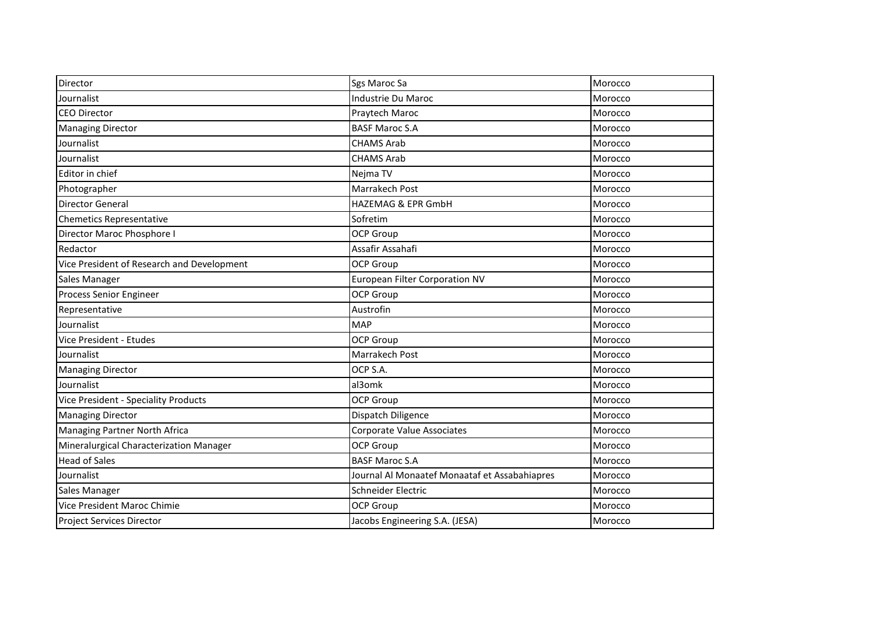| Director                                   | Sgs Maroc Sa                                  | Morocco |
|--------------------------------------------|-----------------------------------------------|---------|
| Journalist                                 | Industrie Du Maroc                            | Morocco |
| <b>CEO Director</b>                        | Praytech Maroc                                | Morocco |
| <b>Managing Director</b>                   | <b>BASF Maroc S.A</b>                         | Morocco |
| Journalist                                 | <b>CHAMS Arab</b>                             | Morocco |
| Journalist                                 | <b>CHAMS Arab</b>                             | Morocco |
| Editor in chief                            | Nejma TV                                      | Morocco |
| Photographer                               | Marrakech Post                                | Morocco |
| <b>Director General</b>                    | <b>HAZEMAG &amp; EPR GmbH</b>                 | Morocco |
| <b>Chemetics Representative</b>            | Sofretim                                      | Morocco |
| Director Maroc Phosphore I                 | <b>OCP Group</b>                              | Morocco |
| Redactor                                   | Assafir Assahafi                              | Morocco |
| Vice President of Research and Development | OCP Group                                     | Morocco |
| Sales Manager                              | European Filter Corporation NV                | Morocco |
| Process Senior Engineer                    | <b>OCP Group</b>                              | Morocco |
| Representative                             | Austrofin                                     | Morocco |
| Journalist                                 | <b>MAP</b>                                    | Morocco |
| Vice President - Etudes                    | <b>OCP Group</b>                              | Morocco |
| Journalist                                 | Marrakech Post                                | Morocco |
| <b>Managing Director</b>                   | OCP S.A.                                      | Morocco |
| Journalist                                 | al3omk                                        | Morocco |
| Vice President - Speciality Products       | <b>OCP Group</b>                              | Morocco |
| <b>Managing Director</b>                   | Dispatch Diligence                            | Morocco |
| Managing Partner North Africa              | <b>Corporate Value Associates</b>             | Morocco |
| Mineralurgical Characterization Manager    | <b>OCP Group</b>                              | Morocco |
| <b>Head of Sales</b>                       | <b>BASF Maroc S.A</b>                         | Morocco |
| Journalist                                 | Journal Al Monaatef Monaataf et Assabahiapres | Morocco |
| Sales Manager                              | Schneider Electric                            | Morocco |
| Vice President Maroc Chimie                | <b>OCP Group</b>                              | Morocco |
| <b>Project Services Director</b>           | Jacobs Engineering S.A. (JESA)                | Morocco |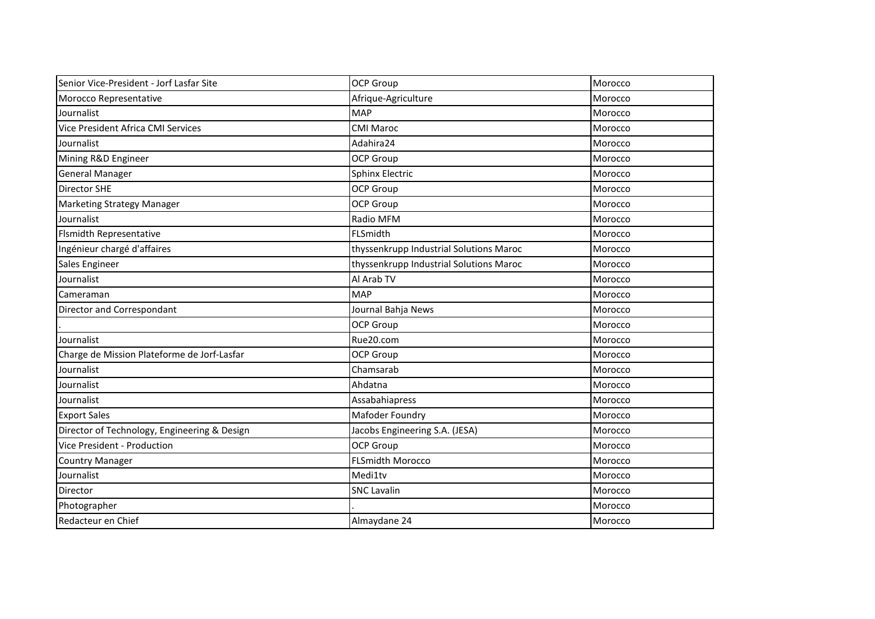| Senior Vice-President - Jorf Lasfar Site     | <b>OCP Group</b>                        | Morocco |
|----------------------------------------------|-----------------------------------------|---------|
| Morocco Representative                       | Afrique-Agriculture                     | Morocco |
| Journalist                                   | <b>MAP</b>                              | Morocco |
| Vice President Africa CMI Services           | <b>CMI Maroc</b>                        | Morocco |
| Journalist                                   | Adahira24                               | Morocco |
| Mining R&D Engineer                          | <b>OCP Group</b>                        | Morocco |
| <b>General Manager</b>                       | Sphinx Electric                         | Morocco |
| Director SHE                                 | <b>OCP Group</b>                        | Morocco |
| <b>Marketing Strategy Manager</b>            | OCP Group                               | Morocco |
| Journalist                                   | Radio MFM                               | Morocco |
| Flsmidth Representative                      | FLSmidth                                | Morocco |
| Ingénieur chargé d'affaires                  | thyssenkrupp Industrial Solutions Maroc | Morocco |
| Sales Engineer                               | thyssenkrupp Industrial Solutions Maroc | Morocco |
| Journalist                                   | Al Arab TV                              | Morocco |
| Cameraman                                    | <b>MAP</b>                              | Morocco |
| Director and Correspondant                   | Journal Bahja News                      | Morocco |
|                                              | OCP Group                               | Morocco |
| Journalist                                   | Rue20.com                               | Morocco |
| Charge de Mission Plateforme de Jorf-Lasfar  | <b>OCP Group</b>                        | Morocco |
| Journalist                                   | Chamsarab                               | Morocco |
| Journalist                                   | Ahdatna                                 | Morocco |
| Journalist                                   | Assabahiapress                          | Morocco |
| <b>Export Sales</b>                          | Mafoder Foundry                         | Morocco |
| Director of Technology, Engineering & Design | Jacobs Engineering S.A. (JESA)          | Morocco |
| Vice President - Production                  | OCP Group                               | Morocco |
| <b>Country Manager</b>                       | <b>FLSmidth Morocco</b>                 | Morocco |
| Journalist                                   | Medi1tv                                 | Morocco |
| <b>Director</b>                              | <b>SNC Lavalin</b>                      | Morocco |
| Photographer                                 |                                         | Morocco |
| Redacteur en Chief                           | Almaydane 24                            | Morocco |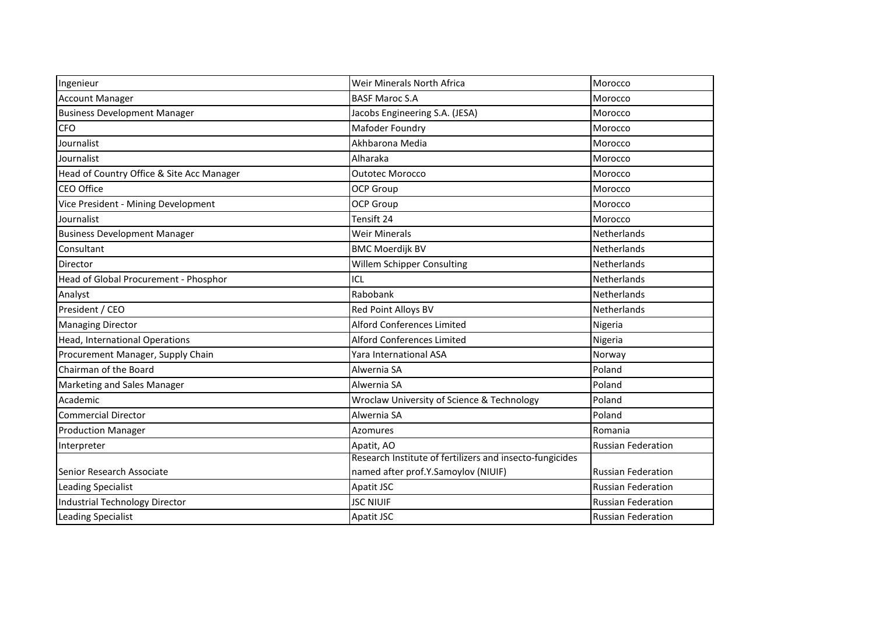| Ingenieur                                 | Weir Minerals North Africa                               | Morocco                   |
|-------------------------------------------|----------------------------------------------------------|---------------------------|
| <b>Account Manager</b>                    | <b>BASF Maroc S.A</b>                                    | Morocco                   |
| <b>Business Development Manager</b>       | Jacobs Engineering S.A. (JESA)                           | Morocco                   |
| <b>CFO</b>                                | Mafoder Foundry                                          | Morocco                   |
| Journalist                                | Akhbarona Media                                          | Morocco                   |
| Journalist                                | Alharaka                                                 | Morocco                   |
| Head of Country Office & Site Acc Manager | <b>Outotec Morocco</b>                                   | Morocco                   |
| CEO Office                                | <b>OCP Group</b>                                         | Morocco                   |
| Vice President - Mining Development       | <b>OCP Group</b>                                         | Morocco                   |
| Journalist                                | Tensift 24                                               | Morocco                   |
| <b>Business Development Manager</b>       | <b>Weir Minerals</b>                                     | Netherlands               |
| Consultant                                | <b>BMC Moerdijk BV</b>                                   | <b>Netherlands</b>        |
| Director                                  | Willem Schipper Consulting                               | Netherlands               |
| Head of Global Procurement - Phosphor     | ICL                                                      | <b>Netherlands</b>        |
| Analyst                                   | Rabobank                                                 | Netherlands               |
| President / CEO                           | Red Point Alloys BV                                      | Netherlands               |
| <b>Managing Director</b>                  | Alford Conferences Limited                               | Nigeria                   |
| Head, International Operations            | Alford Conferences Limited                               | Nigeria                   |
| Procurement Manager, Supply Chain         | Yara International ASA                                   | Norway                    |
| Chairman of the Board                     | Alwernia SA                                              | Poland                    |
| Marketing and Sales Manager               | Alwernia SA                                              | Poland                    |
| Academic                                  | Wroclaw University of Science & Technology               | Poland                    |
| <b>Commercial Director</b>                | Alwernia SA                                              | Poland                    |
| <b>Production Manager</b>                 | Azomures                                                 | Romania                   |
| Interpreter                               | Apatit, AO                                               | <b>Russian Federation</b> |
|                                           | Research Institute of fertilizers and insecto-fungicides |                           |
| Senior Research Associate                 | named after prof.Y.Samoylov (NIUIF)                      | <b>Russian Federation</b> |
| <b>Leading Specialist</b>                 | Apatit JSC                                               | <b>Russian Federation</b> |
| <b>Industrial Technology Director</b>     | <b>JSC NIUIF</b>                                         | <b>Russian Federation</b> |
| <b>Leading Specialist</b>                 | Apatit JSC                                               | <b>Russian Federation</b> |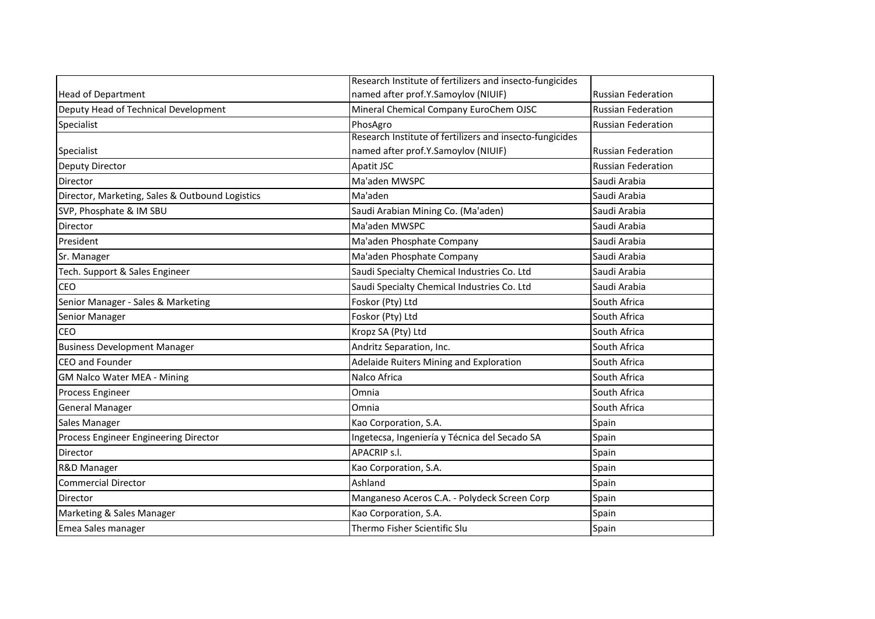|                                                 | Research Institute of fertilizers and insecto-fungicides |                           |
|-------------------------------------------------|----------------------------------------------------------|---------------------------|
| <b>Head of Department</b>                       | named after prof.Y.Samoylov (NIUIF)                      | <b>Russian Federation</b> |
| Deputy Head of Technical Development            | Mineral Chemical Company EuroChem OJSC                   | <b>Russian Federation</b> |
| Specialist                                      | PhosAgro                                                 | <b>Russian Federation</b> |
|                                                 | Research Institute of fertilizers and insecto-fungicides |                           |
| Specialist                                      | named after prof.Y.Samoylov (NIUIF)                      | <b>Russian Federation</b> |
| Deputy Director                                 | Apatit JSC                                               | <b>Russian Federation</b> |
| Director                                        | Ma'aden MWSPC                                            | Saudi Arabia              |
| Director, Marketing, Sales & Outbound Logistics | Ma'aden                                                  | Saudi Arabia              |
| SVP, Phosphate & IM SBU                         | Saudi Arabian Mining Co. (Ma'aden)                       | Saudi Arabia              |
| Director                                        | Ma'aden MWSPC                                            | Saudi Arabia              |
| President                                       | Ma'aden Phosphate Company                                | Saudi Arabia              |
| Sr. Manager                                     | Ma'aden Phosphate Company                                | Saudi Arabia              |
| Tech. Support & Sales Engineer                  | Saudi Specialty Chemical Industries Co. Ltd              | Saudi Arabia              |
| CEO                                             | Saudi Specialty Chemical Industries Co. Ltd              | Saudi Arabia              |
| Senior Manager - Sales & Marketing              | Foskor (Pty) Ltd                                         | South Africa              |
| Senior Manager                                  | Foskor (Pty) Ltd                                         | South Africa              |
| CEO                                             | Kropz SA (Pty) Ltd                                       | South Africa              |
| <b>Business Development Manager</b>             | Andritz Separation, Inc.                                 | South Africa              |
| <b>CEO</b> and Founder                          | Adelaide Ruiters Mining and Exploration                  | South Africa              |
| <b>GM Nalco Water MEA - Mining</b>              | Nalco Africa                                             | South Africa              |
| Process Engineer                                | Omnia                                                    | South Africa              |
| <b>General Manager</b>                          | Omnia                                                    | South Africa              |
| Sales Manager                                   | Kao Corporation, S.A.                                    | Spain                     |
| Process Engineer Engineering Director           | Ingetecsa, Ingeniería y Técnica del Secado SA            | Spain                     |
| Director                                        | APACRIP s.l.                                             | Spain                     |
| R&D Manager                                     | Kao Corporation, S.A.                                    | Spain                     |
| <b>Commercial Director</b>                      | Ashland                                                  | Spain                     |
| Director                                        | Manganeso Aceros C.A. - Polydeck Screen Corp             | Spain                     |
| Marketing & Sales Manager                       | Kao Corporation, S.A.                                    | Spain                     |
| Emea Sales manager                              | Thermo Fisher Scientific Slu                             | Spain                     |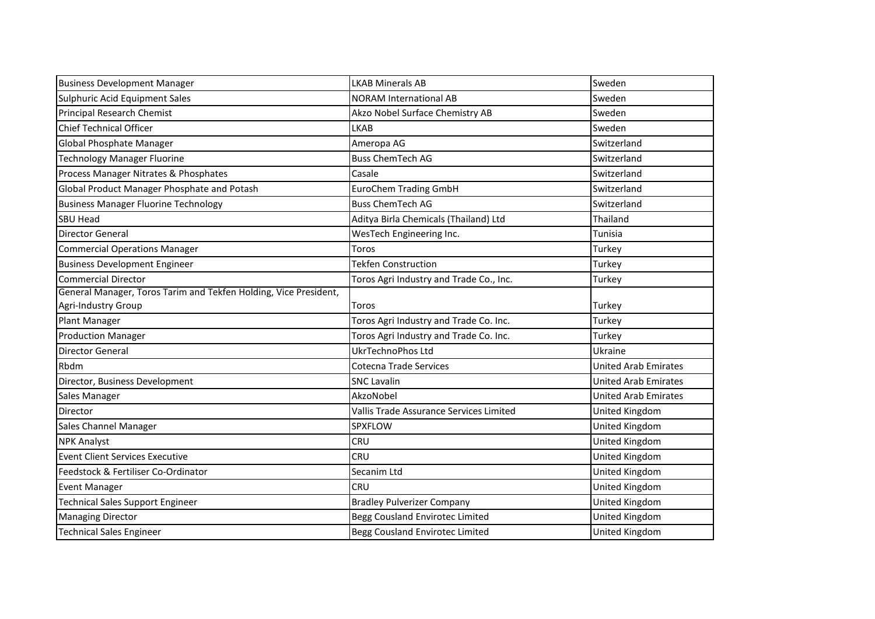| <b>Business Development Manager</b>                              | <b>LKAB Minerals AB</b>                 | Sweden                      |
|------------------------------------------------------------------|-----------------------------------------|-----------------------------|
| Sulphuric Acid Equipment Sales                                   | <b>NORAM International AB</b>           | Sweden                      |
| <b>Principal Research Chemist</b>                                | Akzo Nobel Surface Chemistry AB         | Sweden                      |
| Chief Technical Officer                                          | <b>LKAB</b>                             | Sweden                      |
| Global Phosphate Manager                                         | Ameropa AG                              | Switzerland                 |
| <b>Technology Manager Fluorine</b>                               | <b>Buss ChemTech AG</b>                 | Switzerland                 |
| Process Manager Nitrates & Phosphates                            | Casale                                  | Switzerland                 |
| Global Product Manager Phosphate and Potash                      | <b>EuroChem Trading GmbH</b>            | Switzerland                 |
| <b>Business Manager Fluorine Technology</b>                      | <b>Buss ChemTech AG</b>                 | Switzerland                 |
| <b>SBU Head</b>                                                  | Aditya Birla Chemicals (Thailand) Ltd   | Thailand                    |
| <b>Director General</b>                                          | WesTech Engineering Inc.                | Tunisia                     |
| <b>Commercial Operations Manager</b>                             | Toros                                   | Turkey                      |
| <b>Business Development Engineer</b>                             | <b>Tekfen Construction</b>              | Turkey                      |
| <b>Commercial Director</b>                                       | Toros Agri Industry and Trade Co., Inc. | Turkey                      |
| General Manager, Toros Tarim and Tekfen Holding, Vice President, |                                         |                             |
| Agri-Industry Group                                              | Toros                                   | Turkey                      |
| <b>Plant Manager</b>                                             | Toros Agri Industry and Trade Co. Inc.  | Turkey                      |
| <b>Production Manager</b>                                        | Toros Agri Industry and Trade Co. Inc.  | Turkey                      |
| <b>Director General</b>                                          | UkrTechnoPhos Ltd                       | Ukraine                     |
| Rbdm                                                             | Cotecna Trade Services                  | <b>United Arab Emirates</b> |
| Director, Business Development                                   | <b>SNC Lavalin</b>                      | <b>United Arab Emirates</b> |
| Sales Manager                                                    | AkzoNobel                               | <b>United Arab Emirates</b> |
| Director                                                         | Vallis Trade Assurance Services Limited | United Kingdom              |
| Sales Channel Manager                                            | SPXFLOW                                 | United Kingdom              |
| <b>NPK Analyst</b>                                               | CRU                                     | United Kingdom              |
| <b>Event Client Services Executive</b>                           | <b>CRU</b>                              | United Kingdom              |
| Feedstock & Fertiliser Co-Ordinator                              | Secanim Ltd                             | United Kingdom              |
| <b>Event Manager</b>                                             | <b>CRU</b>                              | United Kingdom              |
| <b>Technical Sales Support Engineer</b>                          | <b>Bradley Pulverizer Company</b>       | United Kingdom              |
| <b>Managing Director</b>                                         | Begg Cousland Envirotec Limited         | United Kingdom              |
| <b>Technical Sales Engineer</b>                                  | Begg Cousland Envirotec Limited         | <b>United Kingdom</b>       |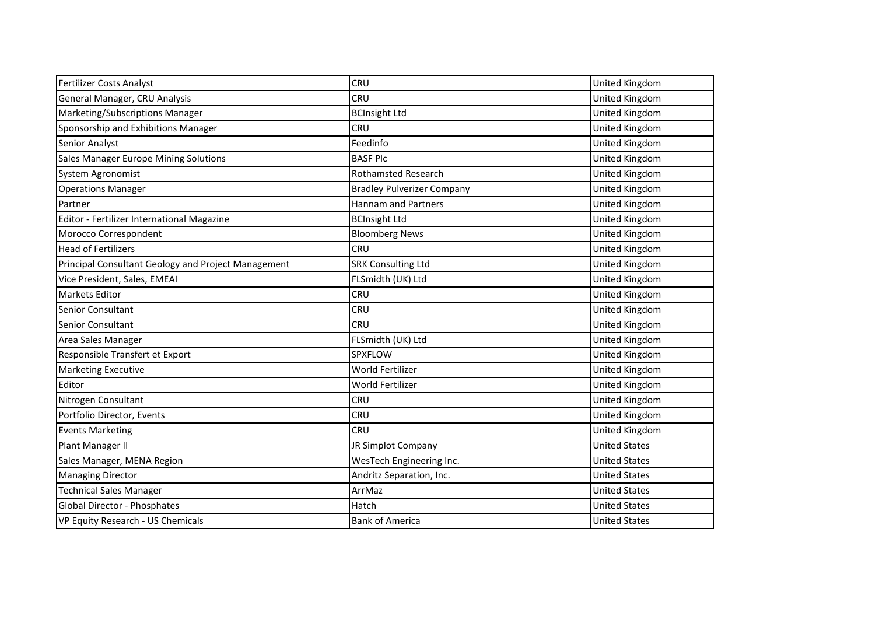| <b>Fertilizer Costs Analyst</b>                     | CRU                               | <b>United Kingdom</b> |
|-----------------------------------------------------|-----------------------------------|-----------------------|
| General Manager, CRU Analysis                       | CRU                               | United Kingdom        |
| Marketing/Subscriptions Manager                     | <b>BCInsight Ltd</b>              | United Kingdom        |
| Sponsorship and Exhibitions Manager                 | CRU                               | United Kingdom        |
| Senior Analyst                                      | Feedinfo                          | United Kingdom        |
| Sales Manager Europe Mining Solutions               | <b>BASF Plc</b>                   | United Kingdom        |
| System Agronomist                                   | <b>Rothamsted Research</b>        | United Kingdom        |
| <b>Operations Manager</b>                           | <b>Bradley Pulverizer Company</b> | United Kingdom        |
| Partner                                             | <b>Hannam and Partners</b>        | United Kingdom        |
| Editor - Fertilizer International Magazine          | <b>BCInsight Ltd</b>              | <b>United Kingdom</b> |
| Morocco Correspondent                               | <b>Bloomberg News</b>             | United Kingdom        |
| <b>Head of Fertilizers</b>                          | CRU                               | <b>United Kingdom</b> |
| Principal Consultant Geology and Project Management | <b>SRK Consulting Ltd</b>         | <b>United Kingdom</b> |
| Vice President, Sales, EMEAI                        | FLSmidth (UK) Ltd                 | United Kingdom        |
| <b>Markets Editor</b>                               | CRU                               | United Kingdom        |
| <b>Senior Consultant</b>                            | CRU                               | United Kingdom        |
| Senior Consultant                                   | CRU                               | United Kingdom        |
| Area Sales Manager                                  | FLSmidth (UK) Ltd                 | United Kingdom        |
| Responsible Transfert et Export                     | SPXFLOW                           | United Kingdom        |
| <b>Marketing Executive</b>                          | World Fertilizer                  | United Kingdom        |
| Editor                                              | World Fertilizer                  | United Kingdom        |
| Nitrogen Consultant                                 | CRU                               | United Kingdom        |
| Portfolio Director, Events                          | CRU                               | United Kingdom        |
| <b>Events Marketing</b>                             | CRU                               | United Kingdom        |
| Plant Manager II                                    | JR Simplot Company                | <b>United States</b>  |
| Sales Manager, MENA Region                          | WesTech Engineering Inc.          | <b>United States</b>  |
| <b>Managing Director</b>                            | Andritz Separation, Inc.          | <b>United States</b>  |
| <b>Technical Sales Manager</b>                      | ArrMaz                            | <b>United States</b>  |
| Global Director - Phosphates                        | Hatch                             | <b>United States</b>  |
| VP Equity Research - US Chemicals                   | <b>Bank of America</b>            | <b>United States</b>  |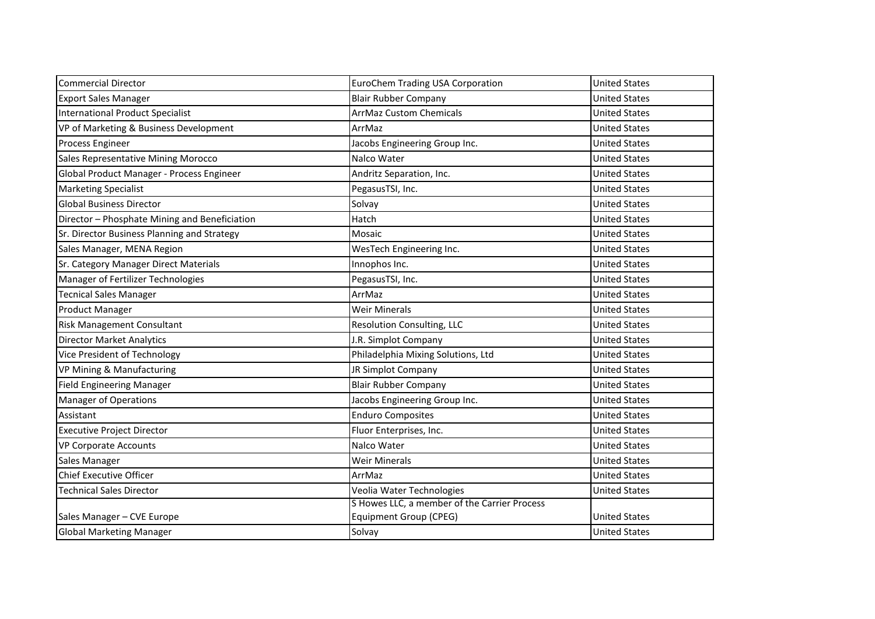| <b>Commercial Director</b>                    | <b>EuroChem Trading USA Corporation</b>      | <b>United States</b> |
|-----------------------------------------------|----------------------------------------------|----------------------|
| <b>Export Sales Manager</b>                   | <b>Blair Rubber Company</b>                  | <b>United States</b> |
| <b>International Product Specialist</b>       | <b>ArrMaz Custom Chemicals</b>               | <b>United States</b> |
| VP of Marketing & Business Development        | ArrMaz                                       | <b>United States</b> |
| Process Engineer                              | Jacobs Engineering Group Inc.                | <b>United States</b> |
| Sales Representative Mining Morocco           | Nalco Water                                  | <b>United States</b> |
| Global Product Manager - Process Engineer     | Andritz Separation, Inc.                     | <b>United States</b> |
| <b>Marketing Specialist</b>                   | PegasusTSI, Inc.                             | <b>United States</b> |
| <b>Global Business Director</b>               | Solvay                                       | <b>United States</b> |
| Director - Phosphate Mining and Beneficiation | Hatch                                        | <b>United States</b> |
| Sr. Director Business Planning and Strategy   | Mosaic                                       | <b>United States</b> |
| Sales Manager, MENA Region                    | WesTech Engineering Inc.                     | <b>United States</b> |
| Sr. Category Manager Direct Materials         | Innophos Inc.                                | <b>United States</b> |
| Manager of Fertilizer Technologies            | PegasusTSI, Inc.                             | <b>United States</b> |
| <b>Tecnical Sales Manager</b>                 | ArrMaz                                       | <b>United States</b> |
| Product Manager                               | <b>Weir Minerals</b>                         | <b>United States</b> |
| Risk Management Consultant                    | <b>Resolution Consulting, LLC</b>            | <b>United States</b> |
| <b>Director Market Analytics</b>              | J.R. Simplot Company                         | <b>United States</b> |
| Vice President of Technology                  | Philadelphia Mixing Solutions, Ltd           | <b>United States</b> |
| VP Mining & Manufacturing                     | JR Simplot Company                           | <b>United States</b> |
| <b>Field Engineering Manager</b>              | <b>Blair Rubber Company</b>                  | <b>United States</b> |
| <b>Manager of Operations</b>                  | Jacobs Engineering Group Inc.                | <b>United States</b> |
| Assistant                                     | <b>Enduro Composites</b>                     | <b>United States</b> |
| <b>Executive Project Director</b>             | Fluor Enterprises, Inc.                      | <b>United States</b> |
| <b>VP Corporate Accounts</b>                  | Nalco Water                                  | <b>United States</b> |
| Sales Manager                                 | <b>Weir Minerals</b>                         | <b>United States</b> |
| <b>Chief Executive Officer</b>                | ArrMaz                                       | <b>United States</b> |
| <b>Technical Sales Director</b>               | Veolia Water Technologies                    | <b>United States</b> |
|                                               | S Howes LLC, a member of the Carrier Process |                      |
| Sales Manager - CVE Europe                    | <b>Equipment Group (CPEG)</b>                | <b>United States</b> |
| <b>Global Marketing Manager</b>               | Solvay                                       | <b>United States</b> |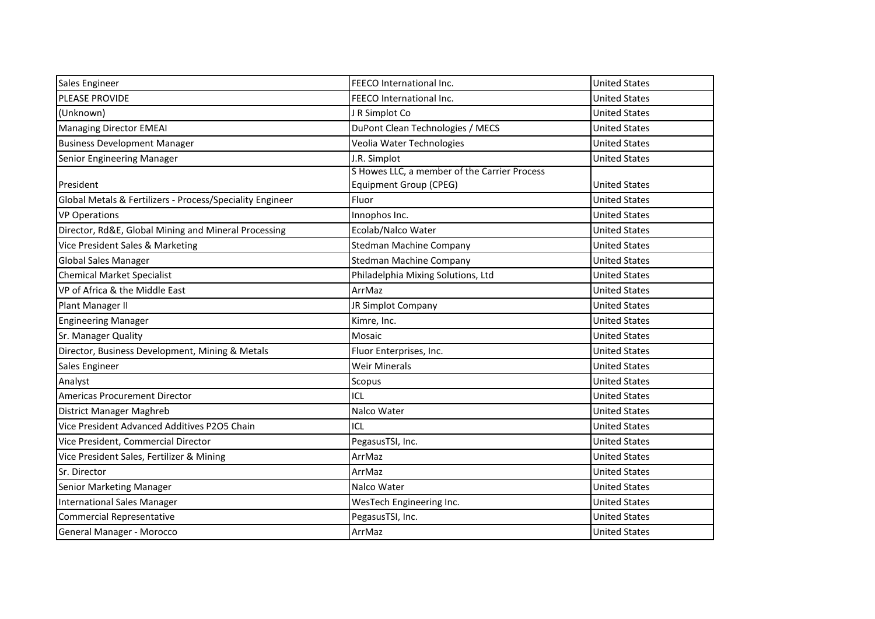| Sales Engineer                                            | FEECO International Inc.                                                      | <b>United States</b> |
|-----------------------------------------------------------|-------------------------------------------------------------------------------|----------------------|
| PLEASE PROVIDE                                            | FEECO International Inc.                                                      | <b>United States</b> |
| (Unknown)                                                 | J R Simplot Co                                                                | <b>United States</b> |
| Managing Director EMEAI                                   | DuPont Clean Technologies / MECS                                              | <b>United States</b> |
| <b>Business Development Manager</b>                       | Veolia Water Technologies                                                     | <b>United States</b> |
| Senior Engineering Manager                                | J.R. Simplot                                                                  | <b>United States</b> |
| President                                                 | S Howes LLC, a member of the Carrier Process<br><b>Equipment Group (CPEG)</b> | <b>United States</b> |
| Global Metals & Fertilizers - Process/Speciality Engineer | Fluor                                                                         | <b>United States</b> |
| <b>VP Operations</b>                                      | Innophos Inc.                                                                 | <b>United States</b> |
| Director, Rd&E, Global Mining and Mineral Processing      | Ecolab/Nalco Water                                                            | <b>United States</b> |
| Vice President Sales & Marketing                          | <b>Stedman Machine Company</b>                                                | <b>United States</b> |
| <b>Global Sales Manager</b>                               | <b>Stedman Machine Company</b>                                                | <b>United States</b> |
| <b>Chemical Market Specialist</b>                         | Philadelphia Mixing Solutions, Ltd                                            | <b>United States</b> |
| VP of Africa & the Middle East                            | ArrMaz                                                                        | <b>United States</b> |
| Plant Manager II                                          | JR Simplot Company                                                            | <b>United States</b> |
| <b>Engineering Manager</b>                                | Kimre, Inc.                                                                   | <b>United States</b> |
| Sr. Manager Quality                                       | Mosaic                                                                        | <b>United States</b> |
| Director, Business Development, Mining & Metals           | Fluor Enterprises, Inc.                                                       | <b>United States</b> |
| Sales Engineer                                            | <b>Weir Minerals</b>                                                          | <b>United States</b> |
| Analyst                                                   | Scopus                                                                        | <b>United States</b> |
| <b>Americas Procurement Director</b>                      | ICL                                                                           | <b>United States</b> |
| District Manager Maghreb                                  | Nalco Water                                                                   | <b>United States</b> |
| Vice President Advanced Additives P2O5 Chain              | ICL                                                                           | <b>United States</b> |
| Vice President, Commercial Director                       | PegasusTSI, Inc.                                                              | <b>United States</b> |
| Vice President Sales, Fertilizer & Mining                 | ArrMaz                                                                        | <b>United States</b> |
| Sr. Director                                              | ArrMaz                                                                        | <b>United States</b> |
| <b>Senior Marketing Manager</b>                           | Nalco Water                                                                   | <b>United States</b> |
| International Sales Manager                               | WesTech Engineering Inc.                                                      | <b>United States</b> |
| <b>Commercial Representative</b>                          | PegasusTSI, Inc.                                                              | <b>United States</b> |
| General Manager - Morocco                                 | ArrMaz                                                                        | <b>United States</b> |